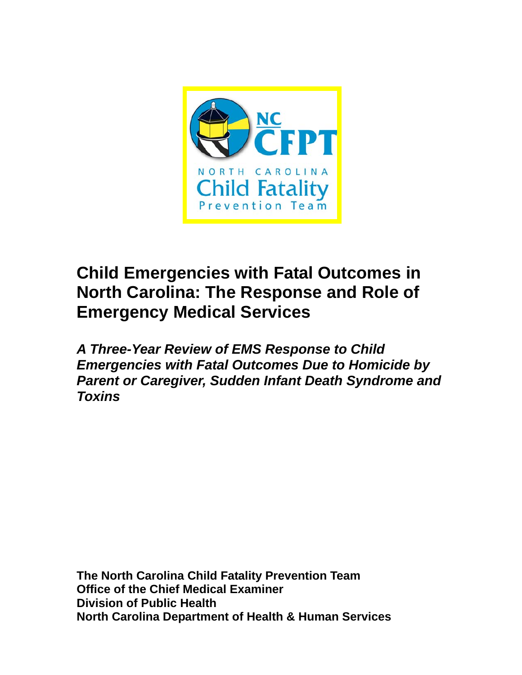

# **Child Emergencies with Fatal Outcomes in North Carolina: The Response and Role of Emergency Medical Services**

*A Three-Year Review of EMS Response to Child Emergencies with Fatal Outcomes Due to Homicide by Parent or Caregiver, Sudden Infant Death Syndrome and Toxins* 

**The North Carolina Child Fatality Prevention Team Office of the Chief Medical Examiner Division of Public Health North Carolina Department of Health & Human Services**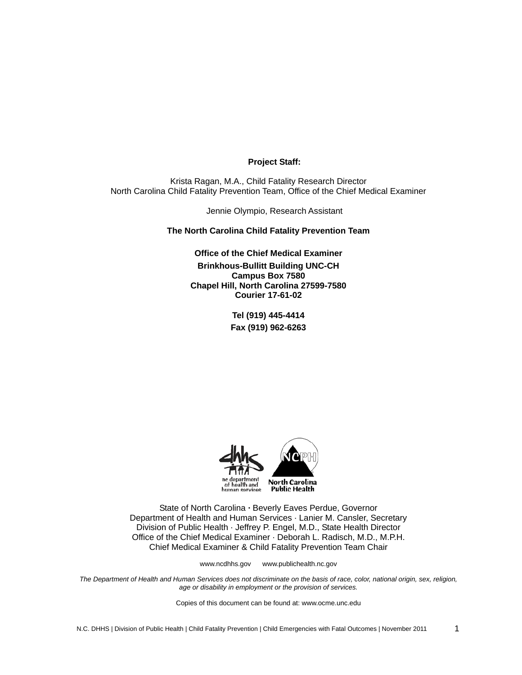## **Project Staff:**

Krista Ragan, M.A., Child Fatality Research Director North Carolina Child Fatality Prevention Team, Office of the Chief Medical Examiner

Jennie Olympio, Research Assistant

**The North Carolina Child Fatality Prevention Team** 

**Office of the Chief Medical Examiner Brinkhous-Bullitt Building UNC-CH Campus Box 7580 Chapel Hill, North Carolina 27599-7580 Courier 17-61-02** 

> **Tel (919) 445-4414 Fax (919) 962-6263**



State of North Carolina **·** Beverly Eaves Perdue, Governor Department of Health and Human Services · Lanier M. Cansler, Secretary Division of Public Health · Jeffrey P. Engel, M.D., State Health Director Office of the Chief Medical Examiner · Deborah L. Radisch, M.D., M.P.H. Chief Medical Examiner & Child Fatality Prevention Team Chair

www.ncdhhs.gov www.publichealth.nc.gov

*The Department of Health and Human Services does not discriminate on the basis of race, color, national origin, sex, religion, age or disability in employment or the provision of services.* 

Copies of this document can be found at: www.ocme.unc.edu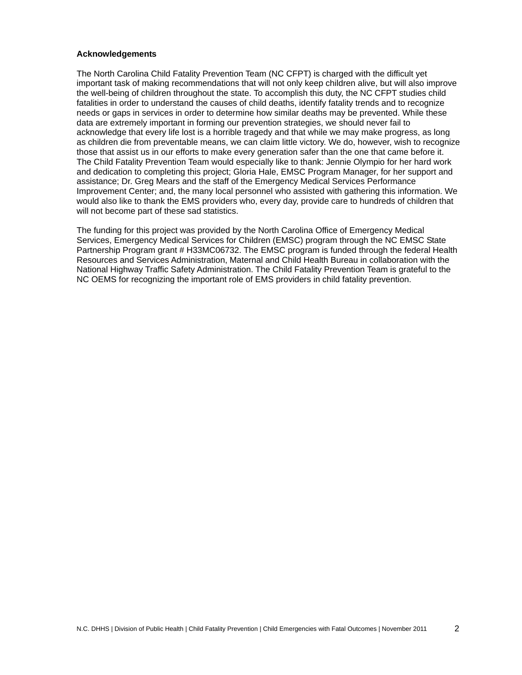#### **Acknowledgements**

The North Carolina Child Fatality Prevention Team (NC CFPT) is charged with the difficult yet important task of making recommendations that will not only keep children alive, but will also improve the well-being of children throughout the state. To accomplish this duty, the NC CFPT studies child fatalities in order to understand the causes of child deaths, identify fatality trends and to recognize needs or gaps in services in order to determine how similar deaths may be prevented. While these data are extremely important in forming our prevention strategies, we should never fail to acknowledge that every life lost is a horrible tragedy and that while we may make progress, as long as children die from preventable means, we can claim little victory. We do, however, wish to recognize those that assist us in our efforts to make every generation safer than the one that came before it. The Child Fatality Prevention Team would especially like to thank: Jennie Olympio for her hard work and dedication to completing this project; Gloria Hale, EMSC Program Manager, for her support and assistance; Dr. Greg Mears and the staff of the Emergency Medical Services Performance Improvement Center; and, the many local personnel who assisted with gathering this information. We would also like to thank the EMS providers who, every day, provide care to hundreds of children that will not become part of these sad statistics.

The funding for this project was provided by the North Carolina Office of Emergency Medical Services, Emergency Medical Services for Children (EMSC) program through the NC EMSC State Partnership Program grant # H33MC06732. The EMSC program is funded through the federal Health Resources and Services Administration, Maternal and Child Health Bureau in collaboration with the National Highway Traffic Safety Administration. The Child Fatality Prevention Team is grateful to the NC OEMS for recognizing the important role of EMS providers in child fatality prevention.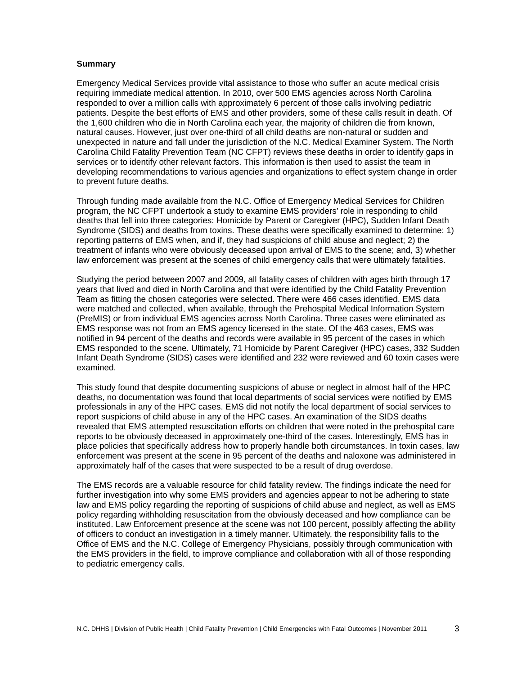## **Summary**

Emergency Medical Services provide vital assistance to those who suffer an acute medical crisis requiring immediate medical attention. In 2010, over 500 EMS agencies across North Carolina responded to over a million calls with approximately 6 percent of those calls involving pediatric patients. Despite the best efforts of EMS and other providers, some of these calls result in death. Of the 1,600 children who die in North Carolina each year, the majority of children die from known, natural causes. However, just over one-third of all child deaths are non-natural or sudden and unexpected in nature and fall under the jurisdiction of the N.C. Medical Examiner System. The North Carolina Child Fatality Prevention Team (NC CFPT) reviews these deaths in order to identify gaps in services or to identify other relevant factors. This information is then used to assist the team in developing recommendations to various agencies and organizations to effect system change in order to prevent future deaths.

Through funding made available from the N.C. Office of Emergency Medical Services for Children program, the NC CFPT undertook a study to examine EMS providers' role in responding to child deaths that fell into three categories: Homicide by Parent or Caregiver (HPC), Sudden Infant Death Syndrome (SIDS) and deaths from toxins. These deaths were specifically examined to determine: 1) reporting patterns of EMS when, and if, they had suspicions of child abuse and neglect; 2) the treatment of infants who were obviously deceased upon arrival of EMS to the scene; and, 3) whether law enforcement was present at the scenes of child emergency calls that were ultimately fatalities.

Studying the period between 2007 and 2009, all fatality cases of children with ages birth through 17 years that lived and died in North Carolina and that were identified by the Child Fatality Prevention Team as fitting the chosen categories were selected. There were 466 cases identified. EMS data were matched and collected, when available, through the Prehospital Medical Information System (PreMIS) or from individual EMS agencies across North Carolina. Three cases were eliminated as EMS response was not from an EMS agency licensed in the state. Of the 463 cases, EMS was notified in 94 percent of the deaths and records were available in 95 percent of the cases in which EMS responded to the scene. Ultimately, 71 Homicide by Parent Caregiver (HPC) cases, 332 Sudden Infant Death Syndrome (SIDS) cases were identified and 232 were reviewed and 60 toxin cases were examined.

This study found that despite documenting suspicions of abuse or neglect in almost half of the HPC deaths, no documentation was found that local departments of social services were notified by EMS professionals in any of the HPC cases. EMS did not notify the local department of social services to report suspicions of child abuse in any of the HPC cases. An examination of the SIDS deaths revealed that EMS attempted resuscitation efforts on children that were noted in the prehospital care reports to be obviously deceased in approximately one-third of the cases. Interestingly, EMS has in place policies that specifically address how to properly handle both circumstances. In toxin cases, law enforcement was present at the scene in 95 percent of the deaths and naloxone was administered in approximately half of the cases that were suspected to be a result of drug overdose.

The EMS records are a valuable resource for child fatality review. The findings indicate the need for further investigation into why some EMS providers and agencies appear to not be adhering to state law and EMS policy regarding the reporting of suspicions of child abuse and neglect, as well as EMS policy regarding withholding resuscitation from the obviously deceased and how compliance can be instituted. Law Enforcement presence at the scene was not 100 percent, possibly affecting the ability of officers to conduct an investigation in a timely manner. Ultimately, the responsibility falls to the Office of EMS and the N.C. College of Emergency Physicians, possibly through communication with the EMS providers in the field, to improve compliance and collaboration with all of those responding to pediatric emergency calls.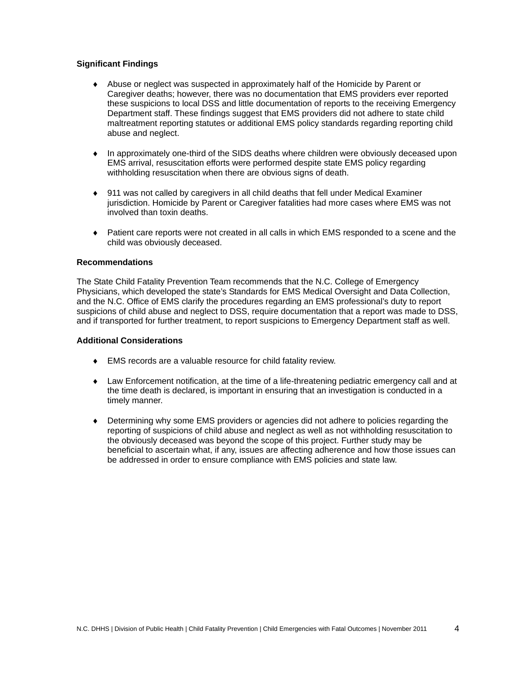## **Significant Findings**

- ♦ Abuse or neglect was suspected in approximately half of the Homicide by Parent or Caregiver deaths; however, there was no documentation that EMS providers ever reported these suspicions to local DSS and little documentation of reports to the receiving Emergency Department staff. These findings suggest that EMS providers did not adhere to state child maltreatment reporting statutes or additional EMS policy standards regarding reporting child abuse and neglect.
- ♦ In approximately one-third of the SIDS deaths where children were obviously deceased upon EMS arrival, resuscitation efforts were performed despite state EMS policy regarding withholding resuscitation when there are obvious signs of death.
- ♦ 911 was not called by caregivers in all child deaths that fell under Medical Examiner jurisdiction. Homicide by Parent or Caregiver fatalities had more cases where EMS was not involved than toxin deaths.
- ♦ Patient care reports were not created in all calls in which EMS responded to a scene and the child was obviously deceased.

## **Recommendations**

The State Child Fatality Prevention Team recommends that the N.C. College of Emergency Physicians, which developed the state's Standards for EMS Medical Oversight and Data Collection, and the N.C. Office of EMS clarify the procedures regarding an EMS professional's duty to report suspicions of child abuse and neglect to DSS, require documentation that a report was made to DSS, and if transported for further treatment, to report suspicions to Emergency Department staff as well.

## **Additional Considerations**

- ♦ EMS records are a valuable resource for child fatality review.
- ♦ Law Enforcement notification, at the time of a life-threatening pediatric emergency call and at the time death is declared, is important in ensuring that an investigation is conducted in a timely manner.
- ♦ Determining why some EMS providers or agencies did not adhere to policies regarding the reporting of suspicions of child abuse and neglect as well as not withholding resuscitation to the obviously deceased was beyond the scope of this project. Further study may be beneficial to ascertain what, if any, issues are affecting adherence and how those issues can be addressed in order to ensure compliance with EMS policies and state law.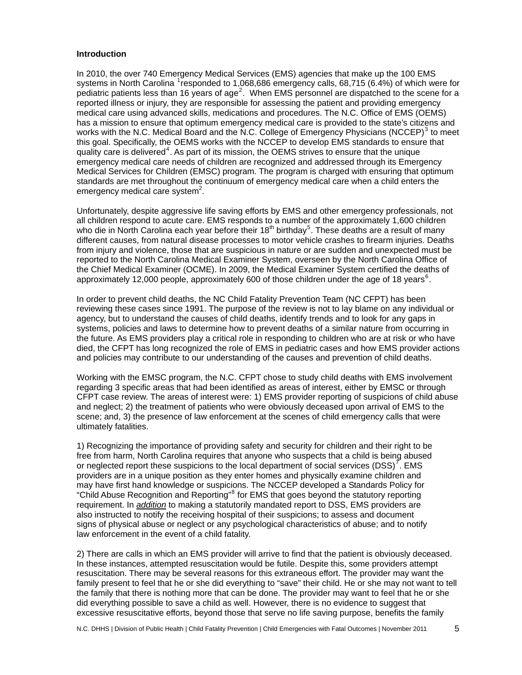#### **Introduction**

In 2010, the over 740 Emergency Medical Services (EMS) agencies that make up the 100 EMS systems in North Carolina <sup>[1](#page-17-0)</sup>responded to 1,068,686 emergency calls, 68,715 (6.4%) of which were for pediatric patients less than 16 years of age<sup>[2](#page-17-1)</sup>. When EMS personnel are dispatched to the scene for a reported illness or injury, they are responsible for assessing the patient and providing emergency medical care using advanced skills, medications and procedures. The N.C. Office of EMS (OEMS) has a mission to ensure that optimum emergency medical care is provided to the state's citizens and works with the N.C. Medical Board and the N.C. College of Emergency Physicians (NCCEP) $^3$  $^3$  to meet this goal. Specifically, the OEMS works with the NCCEP to develop EMS standards to ensure that quality care is delivered<sup>[4](#page-17-1)</sup>. As part of its mission, the OEMS strives to ensure that the unique emergency medical care needs of children are recognized and addressed through its Emergency Medical Services for Children (EMSC) program. The program is charged with ensuring that optimum standards are met throughout the continuum of emergency medical care when a child enters the emergency medical care system $2$ .

Unfortunately, despite aggressive life saving efforts by EMS and other emergency professionals, not all children respond to acute care. EMS responds to a number of the approximately 1,600 children who die in North Carolina each year before their 18<sup>th</sup> birthday<sup>[5](#page-17-1)</sup>. These deaths are a result of many different causes, from natural disease processes to motor vehicle crashes to firearm injuries. Deaths from injury and violence, those that are suspicious in nature or are sudden and unexpected must be reported to the North Carolina Medical Examiner System, overseen by the North Carolina Office of the Chief Medical Examiner (OCME). In 2009, the Medical Examiner System certified the deaths of approximately 12,000 people, approximately [6](#page-17-1)00 of those children under the age of 18 years  $6$ .

In order to prevent child deaths, the NC Child Fatality Prevention Team (NC CFPT) has been reviewing these cases since 1991. The purpose of the review is not to lay blame on any individual or agency, but to understand the causes of child deaths, identify trends and to look for any gaps in systems, policies and laws to determine how to prevent deaths of a similar nature from occurring in the future. As EMS providers play a critical role in responding to children who are at risk or who have died, the CFPT has long recognized the role of EMS in pediatric cases and how EMS provider actions and policies may contribute to our understanding of the causes and prevention of child deaths.

Working with the EMSC program, the N.C. CFPT chose to study child deaths with EMS involvement regarding 3 specific areas that had been identified as areas of interest, either by EMSC or through CFPT case review. The areas of interest were: 1) EMS provider reporting of suspicions of child abuse and neglect; 2) the treatment of patients who were obviously deceased upon arrival of EMS to the scene; and, 3) the presence of law enforcement at the scenes of child emergency calls that were ultimately fatalities.

1) Recognizing the importance of providing safety and security for children and their right to be free from harm, North Carolina requires that anyone who suspects that a child is being abused or neglected report these suspicions to the local department of social services  $(DSS)^7$  $(DSS)^7$ . EMS providers are in a unique position as they enter homes and physically examine children and may have first hand knowledge or suspicions. The NCCEP developed a Standards Policy for "Child Abuse Recognition and Reporting" for EMS that goes beyond the statutory reporting requirement. In *addition* to making a statutorily mandated report to DSS, EMS providers are also instructed to notify the receiving hospital of their suspicions; to assess and document signs of physical abuse or neglect or any psychological characteristics of abuse; and to notify law enforcement in the event of a child fatality.

2) There are calls in which an EMS provider will arrive to find that the patient is obviously deceased. In these instances, attempted resuscitation would be futile. Despite this, some providers attempt resuscitation. There may be several reasons for this extraneous effort. The provider may want the family present to feel that he or she did everything to "save" their child. He or she may not want to tell the family that there is nothing more that can be done. The provider may want to feel that he or she did everything possible to save a child as well. However, there is no evidence to suggest that excessive resuscitative efforts, beyond those that serve no life saving purpose, benefits the family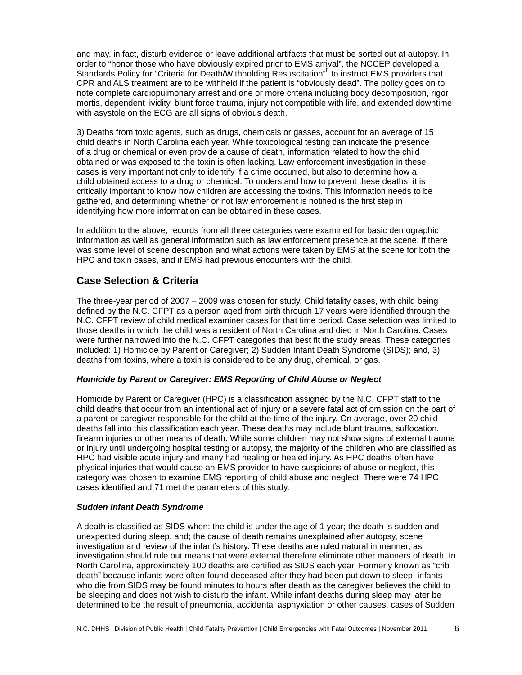and may, in fact, disturb evidence or leave additional artifacts that must be sorted out at autopsy. In order to "honor those who have obviously expired prior to EMS arrival", the NCCEP developed a Standards Policy for "Criteria for Death/Withholding Resuscitation"<sup>8</sup> to instruct EMS providers that CPR and ALS treatment are to be withheld if the patient is "obviously dead". The policy goes on to note complete cardiopulmonary arrest and one or more criteria including body decomposition, rigor mortis, dependent lividity, blunt force trauma, injury not compatible with life, and extended downtime with asystole on the ECG are all signs of obvious death.

3) Deaths from toxic agents, such as drugs, chemicals or gasses, account for an average of 15 child deaths in North Carolina each year. While toxicological testing can indicate the presence of a drug or chemical or even provide a cause of death, information related to how the child obtained or was exposed to the toxin is often lacking. Law enforcement investigation in these cases is very important not only to identify if a crime occurred, but also to determine how a child obtained access to a drug or chemical. To understand how to prevent these deaths, it is critically important to know how children are accessing the toxins. This information needs to be gathered, and determining whether or not law enforcement is notified is the first step in identifying how more information can be obtained in these cases.

In addition to the above, records from all three categories were examined for basic demographic information as well as general information such as law enforcement presence at the scene, if there was some level of scene description and what actions were taken by EMS at the scene for both the HPC and toxin cases, and if EMS had previous encounters with the child.

## **Case Selection & Criteria**

The three-year period of 2007 – 2009 was chosen for study. Child fatality cases, with child being defined by the N.C. CFPT as a person aged from birth through 17 years were identified through the N.C. CFPT review of child medical examiner cases for that time period. Case selection was limited to those deaths in which the child was a resident of North Carolina and died in North Carolina. Cases were further narrowed into the N.C. CFPT categories that best fit the study areas. These categories included: 1) Homicide by Parent or Caregiver; 2) Sudden Infant Death Syndrome (SIDS); and, 3) deaths from toxins, where a toxin is considered to be any drug, chemical, or gas.

## *Homicide by Parent or Caregiver: EMS Reporting of Child Abuse or Neglect*

Homicide by Parent or Caregiver (HPC) is a classification assigned by the N.C. CFPT staff to the child deaths that occur from an intentional act of injury or a severe fatal act of omission on the part of a parent or caregiver responsible for the child at the time of the injury. On average, over 20 child deaths fall into this classification each year. These deaths may include blunt trauma, suffocation, firearm injuries or other means of death. While some children may not show signs of external trauma or injury until undergoing hospital testing or autopsy, the majority of the children who are classified as HPC had visible acute injury and many had healing or healed injury. As HPC deaths often have physical injuries that would cause an EMS provider to have suspicions of abuse or neglect, this category was chosen to examine EMS reporting of child abuse and neglect. There were 74 HPC cases identified and 71 met the parameters of this study.

## *Sudden Infant Death Syndrome*

A death is classified as SIDS when: the child is under the age of 1 year; the death is sudden and unexpected during sleep, and; the cause of death remains unexplained after autopsy, scene investigation and review of the infant's history. These deaths are ruled natural in manner; as investigation should rule out means that were external therefore eliminate other manners of death. In North Carolina, approximately 100 deaths are certified as SIDS each year. Formerly known as "crib death" because infants were often found deceased after they had been put down to sleep, infants who die from SIDS may be found minutes to hours after death as the caregiver believes the child to be sleeping and does not wish to disturb the infant. While infant deaths during sleep may later be determined to be the result of pneumonia, accidental asphyxiation or other causes, cases of Sudden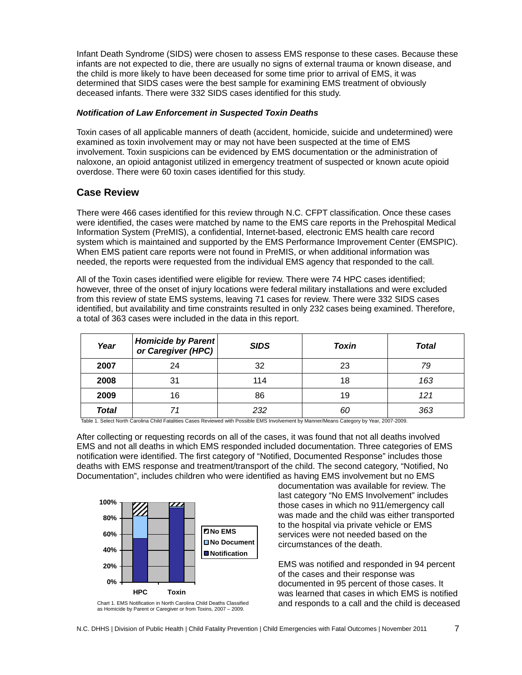Infant Death Syndrome (SIDS) were chosen to assess EMS response to these cases. Because these infants are not expected to die, there are usually no signs of external trauma or known disease, and the child is more likely to have been deceased for some time prior to arrival of EMS, it was determined that SIDS cases were the best sample for examining EMS treatment of obviously deceased infants. There were 332 SIDS cases identified for this study.

## *Notification of Law Enforcement in Suspected Toxin Deaths*

Toxin cases of all applicable manners of death (accident, homicide, suicide and undetermined) were examined as toxin involvement may or may not have been suspected at the time of EMS involvement. Toxin suspicions can be evidenced by EMS documentation or the administration of naloxone, an opioid antagonist utilized in emergency treatment of suspected or known acute opioid overdose. There were 60 toxin cases identified for this study.

## **Case Review**

There were 466 cases identified for this review through N.C. CFPT classification. Once these cases were identified, the cases were matched by name to the EMS care reports in the Prehospital Medical Information System (PreMIS), a confidential, Internet-based, electronic EMS health care record system which is maintained and supported by the EMS Performance Improvement Center (EMSPIC). When EMS patient care reports were not found in PreMIS, or when additional information was needed, the reports were requested from the individual EMS agency that responded to the call.

All of the Toxin cases identified were eligible for review. There were 74 HPC cases identified; however, three of the onset of injury locations were federal military installations and were excluded from this review of state EMS systems, leaving 71 cases for review. There were 332 SIDS cases identified, but availability and time constraints resulted in only 232 cases being examined. Therefore, a total of 363 cases were included in the data in this report.

| Year  | <b>Homicide by Parent</b><br>or Caregiver (HPC) | <b>SIDS</b> | <b>Toxin</b> | Total |
|-------|-------------------------------------------------|-------------|--------------|-------|
| 2007  | 24                                              | 32          | 23           | 79    |
| 2008  | 31                                              | 114         | 18           | 163   |
| 2009  | 16                                              | 86          | 19           | 121   |
| Total |                                                 | 232         | 60           | 363   |

Table 1. Select North Carolina Child Fatalities Cases Reviewed with Possible EMS Involvement by Manner/Means Category by Year, 2007-2009.

After collecting or requesting records on all of the cases, it was found that not all deaths involved EMS and not all deaths in which EMS responded included documentation. Three categories of EMS notification were identified. The first category of "Notified, Documented Response" includes those deaths with EMS response and treatment/transport of the child. The second category, "Notified, No Documentation", includes children who were identified as having EMS involvement but no EMS



Chart 1. EMS Notification in North Carolina Child Deaths Classified as Homicide by Parent or Caregiver or from Toxins, 2007 – 2009.

documentation was available for review. The last category "No EMS Involvement" includes those cases in which no 911/emergency call was made and the child was either transported to the hospital via private vehicle or EMS services were not needed based on the circumstances of the death.

EMS was notified and responded in 94 percent of the cases and their response was documented in 95 percent of those cases. It was learned that cases in which EMS is notified and responds to a call and the child is deceased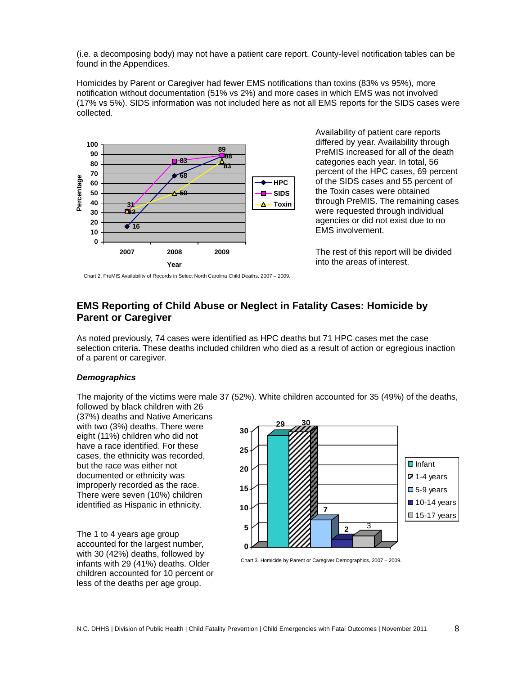(i.e. a decomposing body) may not have a patient care report. County-level notification tables can be found in the Appendices.

Homicides by Parent or Caregiver had fewer EMS notifications than toxins (83% vs 95%), more notification without documentation (51% vs 2%) and more cases in which EMS was not involved (17% vs 5%). SIDS information was not included here as not all EMS reports for the SIDS cases were collected.



Availability of patient care reports differed by year. Availability through PreMIS increased for all of the death categories each year. In total, 56 percent of the HPC cases, 69 percent of the SIDS cases and 55 percent of the Toxin cases were obtained through PreMIS. The remaining cases were requested through individual agencies or did not exist due to no EMS involvement.

The rest of this report will be divided into the areas of interest.

Chart 2. PreMIS Availability of Records in Select North Carolina Child Deaths, 2007 – 2009.

# **EMS Reporting of Child Abuse or Neglect in Fatality Cases: Homicide by Parent or Caregiver**

As noted previously, 74 cases were identified as HPC deaths but 71 HPC cases met the case selection criteria. These deaths included children who died as a result of action or egregious inaction of a parent or caregiver.

## *Demographics*

The majority of the victims were male 37 (52%). White children accounted for 35 (49%) of the deaths, followed by black children with 26

(37%) deaths and Native Americans with two (3%) deaths. There were eight (11%) children who did not have a race identified. For these cases, the ethnicity was recorded, but the race was either not documented or ethnicity was improperly recorded as the race. There were seven (10%) children identified as Hispanic in ethnicity.

The 1 to 4 years age group accounted for the largest number, with 30 (42%) deaths, followed by infants with 29 (41%) deaths. Older children accounted for 10 percent or less of the deaths per age group.



Chart 3. Homicide by Parent or Caregiver Demographics, 2007 – 2009.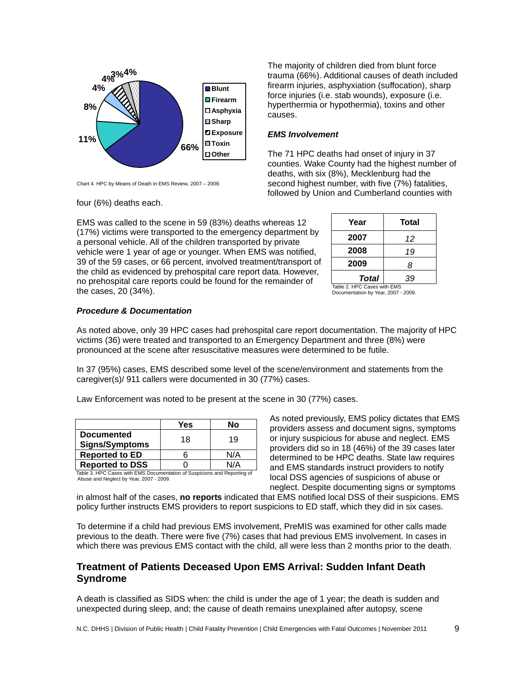

Chart 4. HPC by Means of Death in EMS Review, 2007 – 2009.

four (6%) deaths each.

EMS was called to the scene in 59 (83%) deaths whereas 12 (17%) victims were transported to the emergency department by a personal vehicle. All of the children transported by private vehicle were 1 year of age or younger. When EMS was notified, 39 of the 59 cases, or 66 percent, involved treatment/transport of the child as evidenced by prehospital care report data. However, no prehospital care reports could be found for the remainder of the cases, 20 (34%).

The majority of children died from blunt force trauma (66%). Additional causes of death included firearm injuries, asphyxiation (suffocation), sharp force injuries (i.e. stab wounds), exposure (i.e. hyperthermia or hypothermia), toxins and other causes.

#### *EMS Involvement*

The 71 HPC deaths had onset of injury in 37 counties. Wake County had the highest number of deaths, with six (8%), Mecklenburg had the second highest number, with five (7%) fatalities, followed by Union and Cumberland counties with

| Year                       | Total |  |  |
|----------------------------|-------|--|--|
| 2007                       | 12    |  |  |
| 2008                       | 19    |  |  |
| 2009                       | 8     |  |  |
| Total                      | 39    |  |  |
| Table 2 HPC Cases with FMS |       |  |  |

Table 2. HPC Cases with EMS Documentation by Year, 2007 - 2009.

## *Procedure & Documentation*

As noted above, only 39 HPC cases had prehospital care report documentation. The majority of HPC victims (36) were treated and transported to an Emergency Department and three (8%) were pronounced at the scene after resuscitative measures were determined to be futile.

In 37 (95%) cases, EMS described some level of the scene/environment and statements from the caregiver(s)/ 911 callers were documented in 30 (77%) cases.

Law Enforcement was noted to be present at the scene in 30 (77%) cases.

|                                                                          | Yes | Nο  |  |
|--------------------------------------------------------------------------|-----|-----|--|
| <b>Documented</b>                                                        | 18  | 19  |  |
| <b>Signs/Symptoms</b>                                                    |     |     |  |
| <b>Reported to ED</b>                                                    |     | N/A |  |
| <b>Reported to DSS</b>                                                   |     | N/A |  |
| Table 3. HPC Cases with EMS Documentation of Suspicions and Reporting of |     |     |  |

Abuse and Neglect by Year, 2007 - 2009.

As noted previously, EMS policy dictates that EMS providers assess and document signs, symptoms or injury suspicious for abuse and neglect. EMS providers did so in 18 (46%) of the 39 cases later determined to be HPC deaths. State law requires and EMS standards instruct providers to notify local DSS agencies of suspicions of abuse or neglect. Despite documenting signs or symptoms

in almost half of the cases, **no reports** indicated that EMS notified local DSS of their suspicions. EMS policy further instructs EMS providers to report suspicions to ED staff, which they did in six cases.

To determine if a child had previous EMS involvement, PreMIS was examined for other calls made previous to the death. There were five (7%) cases that had previous EMS involvement. In cases in which there was previous EMS contact with the child, all were less than 2 months prior to the death.

## **Treatment of Patients Deceased Upon EMS Arrival: Sudden Infant Death Syndrome**

A death is classified as SIDS when: the child is under the age of 1 year; the death is sudden and unexpected during sleep, and; the cause of death remains unexplained after autopsy, scene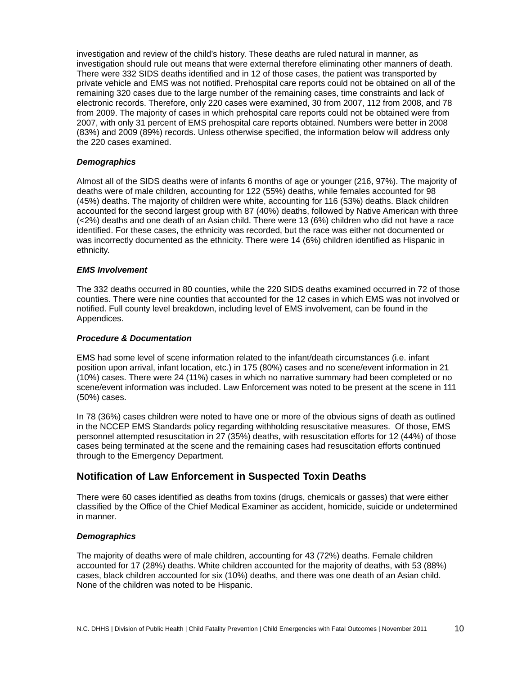investigation and review of the child's history. These deaths are ruled natural in manner, as investigation should rule out means that were external therefore eliminating other manners of death. There were 332 SIDS deaths identified and in 12 of those cases, the patient was transported by private vehicle and EMS was not notified. Prehospital care reports could not be obtained on all of the remaining 320 cases due to the large number of the remaining cases, time constraints and lack of electronic records. Therefore, only 220 cases were examined, 30 from 2007, 112 from 2008, and 78 from 2009. The majority of cases in which prehospital care reports could not be obtained were from 2007, with only 31 percent of EMS prehospital care reports obtained. Numbers were better in 2008 (83%) and 2009 (89%) records. Unless otherwise specified, the information below will address only the 220 cases examined.

## *Demographics*

Almost all of the SIDS deaths were of infants 6 months of age or younger (216, 97%). The majority of deaths were of male children, accounting for 122 (55%) deaths, while females accounted for 98 (45%) deaths. The majority of children were white, accounting for 116 (53%) deaths. Black children accounted for the second largest group with 87 (40%) deaths, followed by Native American with three (<2%) deaths and one death of an Asian child. There were 13 (6%) children who did not have a race identified. For these cases, the ethnicity was recorded, but the race was either not documented or was incorrectly documented as the ethnicity. There were 14 (6%) children identified as Hispanic in ethnicity.

## *EMS Involvement*

The 332 deaths occurred in 80 counties, while the 220 SIDS deaths examined occurred in 72 of those counties. There were nine counties that accounted for the 12 cases in which EMS was not involved or notified. Full county level breakdown, including level of EMS involvement, can be found in the Appendices.

#### *Procedure & Documentation*

EMS had some level of scene information related to the infant/death circumstances (i.e. infant position upon arrival, infant location, etc.) in 175 (80%) cases and no scene/event information in 21 (10%) cases. There were 24 (11%) cases in which no narrative summary had been completed or no scene/event information was included. Law Enforcement was noted to be present at the scene in 111 (50%) cases.

In 78 (36%) cases children were noted to have one or more of the obvious signs of death as outlined in the NCCEP EMS Standards policy regarding withholding resuscitative measures. Of those, EMS personnel attempted resuscitation in 27 (35%) deaths, with resuscitation efforts for 12 (44%) of those cases being terminated at the scene and the remaining cases had resuscitation efforts continued through to the Emergency Department.

## **Notification of Law Enforcement in Suspected Toxin Deaths**

There were 60 cases identified as deaths from toxins (drugs, chemicals or gasses) that were either classified by the Office of the Chief Medical Examiner as accident, homicide, suicide or undetermined in manner.

## *Demographics*

The majority of deaths were of male children, accounting for 43 (72%) deaths. Female children accounted for 17 (28%) deaths. White children accounted for the majority of deaths, with 53 (88%) cases, black children accounted for six (10%) deaths, and there was one death of an Asian child. None of the children was noted to be Hispanic.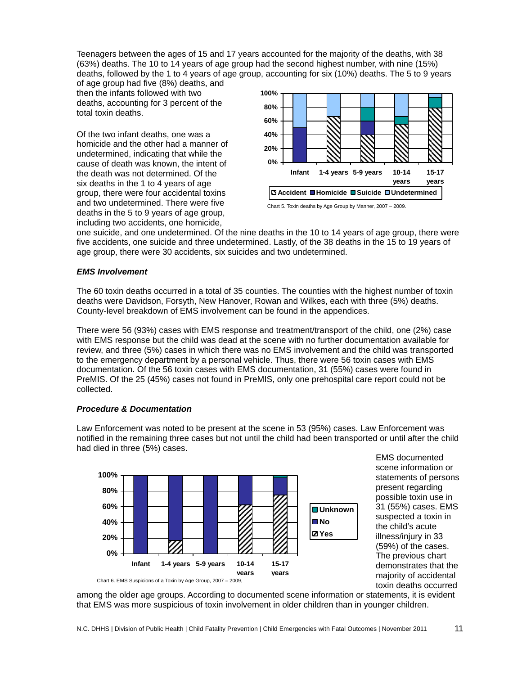Teenagers between the ages of 15 and 17 years accounted for the majority of the deaths, with 38 (63%) deaths. The 10 to 14 years of age group had the second highest number, with nine (15%) deaths, followed by the 1 to 4 years of age group, accounting for six (10%) deaths. The 5 to 9 years

of age group had five (8%) deaths, and then the infants followed with two deaths, accounting for 3 percent of the total toxin deaths.

Of the two infant deaths, one was a homicide and the other had a manner of undetermined, indicating that while the cause of death was known, the intent of the death was not determined. Of the six deaths in the 1 to 4 years of age group, there were four accidental toxins and two undetermined. There were five deaths in the 5 to 9 years of age group, including two accidents, one homicide,



Chart 5. Toxin deaths by Age Group by Manner, 2007 – 2009.

one suicide, and one undetermined. Of the nine deaths in the 10 to 14 years of age group, there were five accidents, one suicide and three undetermined. Lastly, of the 38 deaths in the 15 to 19 years of age group, there were 30 accidents, six suicides and two undetermined.

## *EMS Involvement*

The 60 toxin deaths occurred in a total of 35 counties. The counties with the highest number of toxin deaths were Davidson, Forsyth, New Hanover, Rowan and Wilkes, each with three (5%) deaths. County-level breakdown of EMS involvement can be found in the appendices.

There were 56 (93%) cases with EMS response and treatment/transport of the child, one (2%) case with EMS response but the child was dead at the scene with no further documentation available for review, and three (5%) cases in which there was no EMS involvement and the child was transported to the emergency department by a personal vehicle. Thus, there were 56 toxin cases with EMS documentation. Of the 56 toxin cases with EMS documentation, 31 (55%) cases were found in PreMIS. Of the 25 (45%) cases not found in PreMIS, only one prehospital care report could not be collected.

## *Procedure & Documentation*



Law Enforcement was noted to be present at the scene in 53 (95%) cases. Law Enforcement was notified in the remaining three cases but not until the child had been transported or until after the child had died in three (5%) cases.

> scene information or statements of persons present regarding possible toxin use in 31 (55%) cases. EMS suspected a toxin in the child's acute illness/injury in 33 (59%) of the cases. The previous chart demonstrates that the majority of accidental toxin deaths occurred

EMS documented

among the older age groups. According to documented scene information or statements, it is evident that EMS was more suspicious of toxin involvement in older children than in younger children.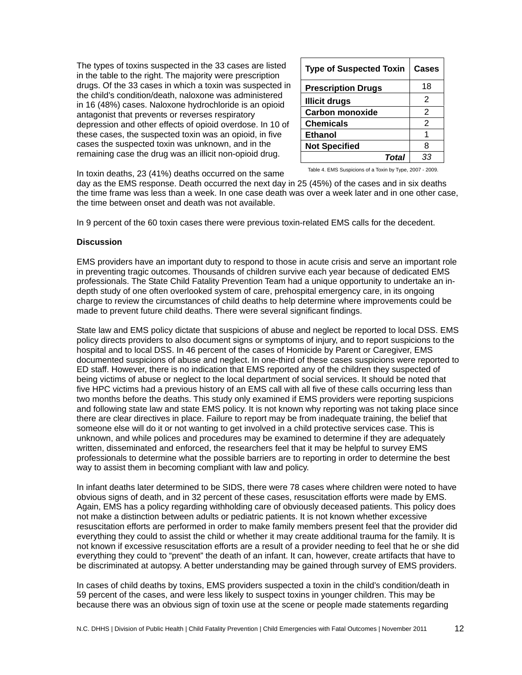The types of toxins suspected in the 33 cases are listed in the table to the right. The majority were prescription drugs. Of the 33 cases in which a toxin was suspected in the child's condition/death, naloxone was administered in 16 (48%) cases. Naloxone hydrochloride is an opioid antagonist that prevents or reverses respiratory depression and other effects of opioid overdose. In 10 of these cases, the suspected toxin was an opioid, in five cases the suspected toxin was unknown, and in the remaining case the drug was an illicit non-opioid drug.

| <b>Type of Suspected Toxin</b> | <b>Cases</b>   |
|--------------------------------|----------------|
| <b>Prescription Drugs</b>      | 18             |
| <b>Illicit drugs</b>           | 2              |
| <b>Carbon monoxide</b>         | 2              |
| <b>Chemicals</b>               | $\overline{2}$ |
| <b>Ethanol</b>                 | 1              |
| <b>Not Specified</b>           | 8              |
| Total                          | 33             |

Table 4. EMS Suspicions of a Toxin by Type, 2007 - 2009.

In toxin deaths, 23 (41%) deaths occurred on the same

day as the EMS response. Death occurred the next day in 25 (45%) of the cases and in six deaths the time frame was less than a week. In one case death was over a week later and in one other case, the time between onset and death was not available.

In 9 percent of the 60 toxin cases there were previous toxin-related EMS calls for the decedent.

## **Discussion**

EMS providers have an important duty to respond to those in acute crisis and serve an important role in preventing tragic outcomes. Thousands of children survive each year because of dedicated EMS professionals. The State Child Fatality Prevention Team had a unique opportunity to undertake an indepth study of one often overlooked system of care, prehospital emergency care, in its ongoing charge to review the circumstances of child deaths to help determine where improvements could be made to prevent future child deaths. There were several significant findings.

State law and EMS policy dictate that suspicions of abuse and neglect be reported to local DSS. EMS policy directs providers to also document signs or symptoms of injury, and to report suspicions to the hospital and to local DSS. In 46 percent of the cases of Homicide by Parent or Caregiver, EMS documented suspicions of abuse and neglect. In one-third of these cases suspicions were reported to ED staff. However, there is no indication that EMS reported any of the children they suspected of being victims of abuse or neglect to the local department of social services. It should be noted that five HPC victims had a previous history of an EMS call with all five of these calls occurring less than two months before the deaths. This study only examined if EMS providers were reporting suspicions and following state law and state EMS policy. It is not known why reporting was not taking place since there are clear directives in place. Failure to report may be from inadequate training, the belief that someone else will do it or not wanting to get involved in a child protective services case. This is unknown, and while polices and procedures may be examined to determine if they are adequately written, disseminated and enforced, the researchers feel that it may be helpful to survey EMS professionals to determine what the possible barriers are to reporting in order to determine the best way to assist them in becoming compliant with law and policy.

In infant deaths later determined to be SIDS, there were 78 cases where children were noted to have obvious signs of death, and in 32 percent of these cases, resuscitation efforts were made by EMS. Again, EMS has a policy regarding withholding care of obviously deceased patients. This policy does not make a distinction between adults or pediatric patients. It is not known whether excessive resuscitation efforts are performed in order to make family members present feel that the provider did everything they could to assist the child or whether it may create additional trauma for the family. It is not known if excessive resuscitation efforts are a result of a provider needing to feel that he or she did everything they could to "prevent" the death of an infant. It can, however, create artifacts that have to be discriminated at autopsy. A better understanding may be gained through survey of EMS providers.

In cases of child deaths by toxins, EMS providers suspected a toxin in the child's condition/death in 59 percent of the cases, and were less likely to suspect toxins in younger children. This may be because there was an obvious sign of toxin use at the scene or people made statements regarding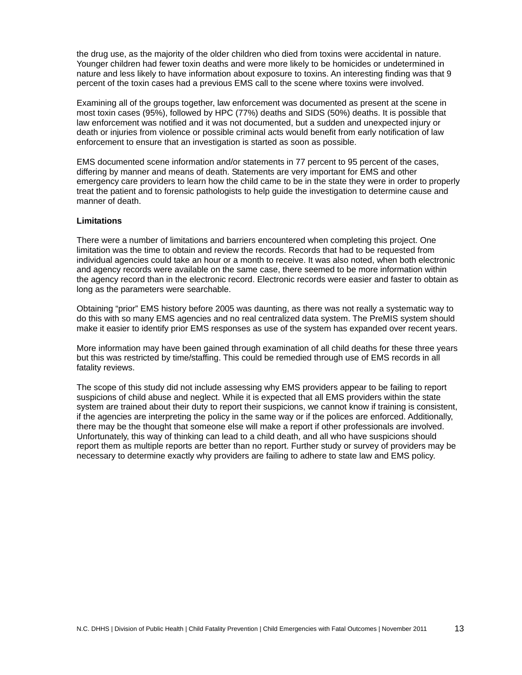the drug use, as the majority of the older children who died from toxins were accidental in nature. Younger children had fewer toxin deaths and were more likely to be homicides or undetermined in nature and less likely to have information about exposure to toxins. An interesting finding was that 9 percent of the toxin cases had a previous EMS call to the scene where toxins were involved.

Examining all of the groups together, law enforcement was documented as present at the scene in most toxin cases (95%), followed by HPC (77%) deaths and SIDS (50%) deaths. It is possible that law enforcement was notified and it was not documented, but a sudden and unexpected injury or death or injuries from violence or possible criminal acts would benefit from early notification of law enforcement to ensure that an investigation is started as soon as possible.

EMS documented scene information and/or statements in 77 percent to 95 percent of the cases, differing by manner and means of death. Statements are very important for EMS and other emergency care providers to learn how the child came to be in the state they were in order to properly treat the patient and to forensic pathologists to help guide the investigation to determine cause and manner of death.

## **Limitations**

There were a number of limitations and barriers encountered when completing this project. One limitation was the time to obtain and review the records. Records that had to be requested from individual agencies could take an hour or a month to receive. It was also noted, when both electronic and agency records were available on the same case, there seemed to be more information within the agency record than in the electronic record. Electronic records were easier and faster to obtain as long as the parameters were searchable.

Obtaining "prior" EMS history before 2005 was daunting, as there was not really a systematic way to do this with so many EMS agencies and no real centralized data system. The PreMIS system should make it easier to identify prior EMS responses as use of the system has expanded over recent years.

More information may have been gained through examination of all child deaths for these three years but this was restricted by time/staffing. This could be remedied through use of EMS records in all fatality reviews.

The scope of this study did not include assessing why EMS providers appear to be failing to report suspicions of child abuse and neglect. While it is expected that all EMS providers within the state system are trained about their duty to report their suspicions, we cannot know if training is consistent, if the agencies are interpreting the policy in the same way or if the polices are enforced. Additionally, there may be the thought that someone else will make a report if other professionals are involved. Unfortunately, this way of thinking can lead to a child death, and all who have suspicions should report them as multiple reports are better than no report. Further study or survey of providers may be necessary to determine exactly why providers are failing to adhere to state law and EMS policy.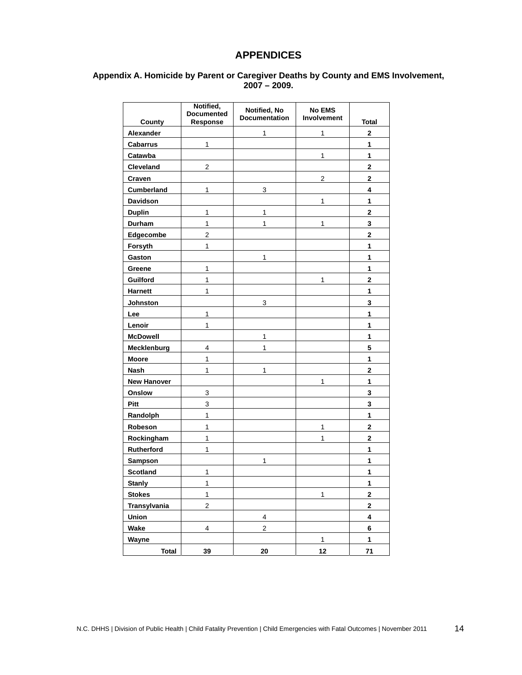## **APPENDICES**

## **Appendix A. Homicide by Parent or Caregiver Deaths by County and EMS Involvement, 2007 – 2009.**

|                            | Notified,<br><b>Documented</b> | Notified, No<br><b>Documentation</b> | <b>No EMS</b><br>Involvement | <b>Total</b>   |
|----------------------------|--------------------------------|--------------------------------------|------------------------------|----------------|
| <b>County</b><br>Alexander | Response                       | 1                                    | 1                            | $\mathbf 2$    |
| <b>Cabarrus</b>            | 1                              |                                      |                              | 1              |
| Catawba                    |                                |                                      | 1                            | 1              |
|                            | $\overline{2}$                 |                                      |                              | $\overline{2}$ |
| Cleveland<br>Craven        |                                |                                      | $\overline{2}$               | $\mathbf{2}$   |
| <b>Cumberland</b>          | $\mathbf{1}$                   | 3                                    |                              | 4              |
| Davidson                   |                                |                                      | 1                            | 1              |
| <b>Duplin</b>              | 1                              | 1                                    |                              | $\mathbf 2$    |
| Durham                     | 1                              | 1                                    | 1                            | 3              |
| Edgecombe                  | $\overline{2}$                 |                                      |                              | $\overline{2}$ |
| Forsyth                    | 1                              |                                      |                              | 1              |
| Gaston                     |                                | 1                                    |                              | 1              |
| Greene                     | 1                              |                                      |                              | 1              |
| Guilford                   | 1                              |                                      | 1                            | $\mathbf 2$    |
| <b>Harnett</b>             | 1                              |                                      |                              | 1              |
| Johnston                   |                                | 3                                    |                              | 3              |
| Lee                        | 1                              |                                      |                              | 1              |
| Lenoir                     | $\mathbf{1}$                   |                                      |                              | 1              |
| <b>McDowell</b>            |                                | 1                                    |                              | 1              |
| Mecklenburg                | 4                              | 1                                    |                              | 5              |
| <b>Moore</b>               | 1                              |                                      |                              | 1              |
| <b>Nash</b>                | 1                              | 1                                    |                              | $\overline{2}$ |
| <b>New Hanover</b>         |                                |                                      | 1                            | 1              |
| Onslow                     | 3                              |                                      |                              | 3              |
| Pitt                       | 3                              |                                      |                              | 3              |
| Randolph                   | 1                              |                                      |                              | 1              |
| Robeson                    | $\mathbf{1}$                   |                                      | 1                            | $\overline{2}$ |
| Rockingham                 | 1                              |                                      | 1                            | $\mathbf 2$    |
| Rutherford                 | 1                              |                                      |                              | 1              |
| Sampson                    |                                | 1                                    |                              | 1              |
| Scotland                   | 1                              |                                      |                              | 1              |
| <b>Stanly</b>              | 1                              |                                      |                              | 1              |
| <b>Stokes</b>              | $\mathbf{1}$                   |                                      | $\mathbf{1}$                 | $\bf{2}$       |
| Transylvania               | $\overline{a}$                 |                                      |                              | $\mathbf 2$    |
| Union                      |                                | 4                                    |                              | 4              |
| Wake                       | 4                              | $\overline{c}$                       |                              | 6              |
| Wayne                      |                                |                                      | $\mathbf{1}$                 | $\mathbf{1}$   |
| <b>Total</b>               | 39                             | 20                                   | 12                           | $71$           |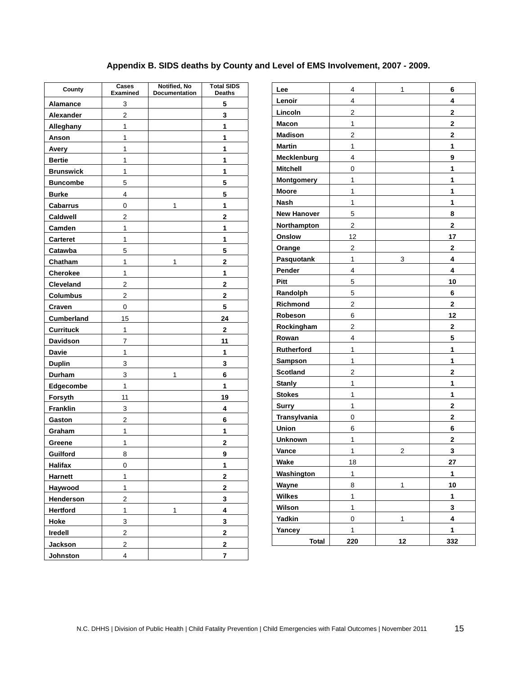# **Appendix B. SIDS deaths by County and Level of EMS Involvement, 2007 - 2009.**

| County           | Cases<br><b>Examined</b> | Notified, No<br>Documentation | <b>Total SIDS</b><br>Deaths |  |
|------------------|--------------------------|-------------------------------|-----------------------------|--|
| <b>Alamance</b>  | 3                        |                               | 5                           |  |
| Alexander        | $\overline{2}$           |                               | 3                           |  |
| Alleghany        | $\mathbf{1}$             |                               | 1                           |  |
| Anson            | 1                        |                               | 1                           |  |
| Avery            | $\mathbf{1}$             |                               | 1                           |  |
| <b>Bertie</b>    | 1                        |                               | 1                           |  |
| <b>Brunswick</b> | $\mathbf{1}$             |                               | 1                           |  |
| <b>Buncombe</b>  | 5                        |                               | 5                           |  |
| <b>Burke</b>     | 4                        |                               | 5                           |  |
| <b>Cabarrus</b>  | 0                        | 1                             | 1                           |  |
| Caldwell         | 2                        |                               | 2                           |  |
| Camden           | $\mathbf{1}$             |                               | 1                           |  |
| Carteret         | $\mathbf{1}$             |                               | 1                           |  |
| Catawba          | 5                        |                               | 5                           |  |
| Chatham          | 1                        | 1                             | $\overline{\mathbf{2}}$     |  |
| Cherokee         | 1                        |                               | 1                           |  |
| Cleveland        | $\overline{2}$           |                               | $\mathbf 2$                 |  |
| <b>Columbus</b>  | 2                        |                               | $\mathbf 2$                 |  |
| Craven           | 0                        |                               | 5                           |  |
| Cumberland       | 15                       |                               | 24                          |  |
| <b>Currituck</b> | 1                        |                               | $\mathbf 2$                 |  |
| Davidson         | 7                        |                               | 11                          |  |
| <b>Davie</b>     | 1                        |                               | 1                           |  |
| <b>Duplin</b>    | 3                        |                               | 3                           |  |
| Durham           | 3                        | 1                             | 6                           |  |
| Edgecombe        | $\mathbf{1}$             |                               | 1                           |  |
| Forsyth          | 11                       |                               | 19                          |  |
| <b>Franklin</b>  | 3                        |                               | 4                           |  |
| Gaston           | $\overline{2}$           |                               | 6                           |  |
| Graham           | 1                        |                               | 1                           |  |
| Greene           | $\mathbf{1}$             |                               | 2                           |  |
| Guilford         | 8                        |                               | 9                           |  |
| <b>Halifax</b>   | 0                        |                               | 1                           |  |
| Harnett          | 1                        |                               | 2                           |  |
| Haywood          | $\mathbf{1}$             |                               | 2                           |  |
| Henderson        | $\mathbf{2}$             |                               | 3                           |  |
| <b>Hertford</b>  | $\mathbf{1}$             | $\mathbf{1}$                  | 4                           |  |
| Hoke             | 3                        |                               | 3                           |  |
| Iredell          | $\mathbf 2$              |                               | 2                           |  |
| <b>Jackson</b>   | $\overline{\mathbf{c}}$  |                               | 2                           |  |
| Johnston         | 4                        |                               | 7                           |  |

| Lee                | 4              | 1            | 6            |
|--------------------|----------------|--------------|--------------|
| Lenoir             | 4              |              | 4            |
| Lincoln            | 2              |              | 2            |
| <b>Macon</b>       | 1              |              | $\mathbf{2}$ |
| <b>Madison</b>     | 2              |              | 2            |
| <b>Martin</b>      | 1              |              | 1            |
| Mecklenburg        | 4              |              | 9            |
| <b>Mitchell</b>    | 0              |              | 1            |
| <b>Montgomery</b>  | 1              |              | 1            |
| <b>Moore</b>       | 1              |              | 1            |
| <b>Nash</b>        | 1              |              | 1            |
| <b>New Hanover</b> | 5              |              | 8            |
| Northampton        | $\overline{2}$ |              | 2            |
| Onslow             | 12             |              | 17           |
| Orange             | 2              |              | 2            |
| Pasquotank         | 1              | 3            | 4            |
| Pender             | 4              |              | 4            |
| Pitt               | 5              |              | 10           |
| Randolph           | 5              |              | 6            |
| Richmond           | 2              |              | 2            |
| Robeson            | 6              |              | 12           |
| Rockingham         | 2              |              | 2            |
| Rowan              | 4              |              | 5            |
| Rutherford         | 1              |              | 1            |
| <b>Sampson</b>     | 1              |              | 1            |
| <b>Scotland</b>    | 2              |              | $\mathbf{2}$ |
| <b>Stanly</b>      | 1              |              | 1            |
| <b>Stokes</b>      | 1              |              | 1            |
| <b>Surry</b>       | 1              |              | 2            |
| Transylvania       | 0              |              | 2            |
| Union              | 6              |              | 6            |
| <b>Unknown</b>     | 1              |              | 2            |
| Vance              | 1              | 2            | 3            |
| Wake               | 18             |              | 27           |
| Washington         | 1              |              | 1            |
| Wayne              | 8              | 1            | 10           |
| <b>Wilkes</b>      | $\mathbf{1}$   |              | 1            |
| Wilson             | $\mathbf{1}$   |              | 3            |
| <b>Yadkin</b>      | 0              | $\mathbf{1}$ | 4            |
| Yancey             | $\mathbf{1}$   |              | 1            |
| <b>Total</b>       | 220            | 12           | 332          |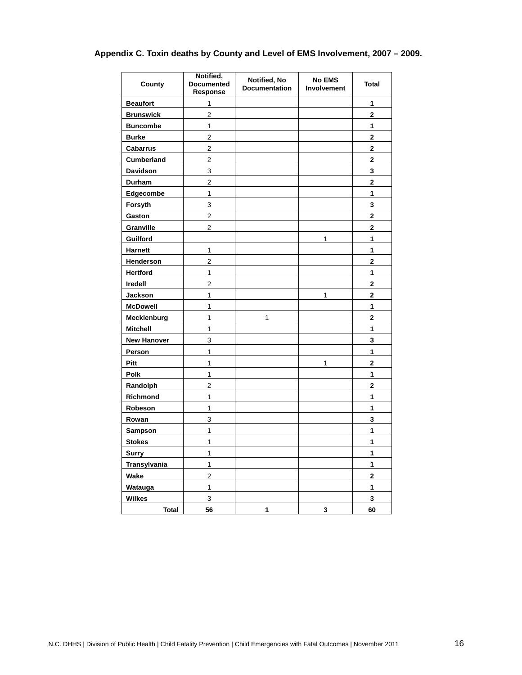# **Appendix C. Toxin deaths by County and Level of EMS Involvement, 2007 – 2009.**

| County             | Notified,<br><b>Documented</b><br>Response | Notified, No<br><b>Documentation</b> | <b>No EMS</b><br><b>Involvement</b> | <b>Total</b>            |
|--------------------|--------------------------------------------|--------------------------------------|-------------------------------------|-------------------------|
| <b>Beaufort</b>    | 1                                          |                                      |                                     | 1                       |
| <b>Brunswick</b>   | $\overline{2}$                             |                                      |                                     | $\overline{2}$          |
| <b>Buncombe</b>    | 1                                          |                                      |                                     | 1                       |
| <b>Burke</b>       | $\overline{\mathbf{c}}$                    |                                      |                                     | $\mathbf 2$             |
| <b>Cabarrus</b>    | $\overline{c}$                             |                                      |                                     | $\mathbf 2$             |
| <b>Cumberland</b>  | $\overline{c}$                             |                                      |                                     | $\mathbf 2$             |
| <b>Davidson</b>    | 3                                          |                                      |                                     | 3                       |
| Durham             | 2                                          |                                      |                                     | $\overline{2}$          |
| Edgecombe          | 1                                          |                                      |                                     | 1                       |
| Forsyth            | 3                                          |                                      |                                     | 3                       |
| Gaston             | $\mathbf 2$                                |                                      |                                     | $\mathbf 2$             |
| Granville          | $\overline{2}$                             |                                      |                                     | 2                       |
| Guilford           |                                            |                                      | 1                                   | 1                       |
| <b>Harnett</b>     | 1                                          |                                      |                                     | 1                       |
| Henderson          | $\overline{2}$                             |                                      |                                     | $\overline{\mathbf{c}}$ |
| <b>Hertford</b>    | 1                                          |                                      |                                     | 1                       |
| Iredell            | 2                                          |                                      |                                     | 2                       |
| Jackson            | 1                                          |                                      | 1                                   | 2                       |
| <b>McDowell</b>    | 1                                          |                                      |                                     | 1                       |
| Mecklenburg        | 1                                          | 1                                    |                                     | $\mathbf 2$             |
| <b>Mitchell</b>    | 1                                          |                                      |                                     | 1                       |
| <b>New Hanover</b> | 3                                          |                                      |                                     | 3                       |
| Person             | 1                                          |                                      |                                     | 1                       |
| <b>Pitt</b>        | 1                                          |                                      | 1                                   | $\overline{2}$          |
| Polk               | 1                                          |                                      |                                     | 1                       |
| Randolph           | 2                                          |                                      |                                     | 2                       |
| Richmond           | 1                                          |                                      |                                     | 1                       |
| Robeson            | 1                                          |                                      |                                     | 1                       |
| Rowan              | 3                                          |                                      |                                     | 3                       |
| <b>Sampson</b>     | 1                                          |                                      |                                     | 1                       |
| <b>Stokes</b>      | 1                                          |                                      |                                     | 1                       |
| <b>Surry</b>       | 1                                          |                                      |                                     | 1                       |
| Transylvania       | 1                                          |                                      |                                     | 1                       |
| Wake               | 2                                          |                                      |                                     | $\mathbf 2$             |
| Watauga            | 1                                          |                                      |                                     | 1                       |
| <b>Wilkes</b>      | 3                                          |                                      |                                     | 3                       |
| <b>Total</b>       | 56                                         | 1                                    | 3                                   | 60                      |